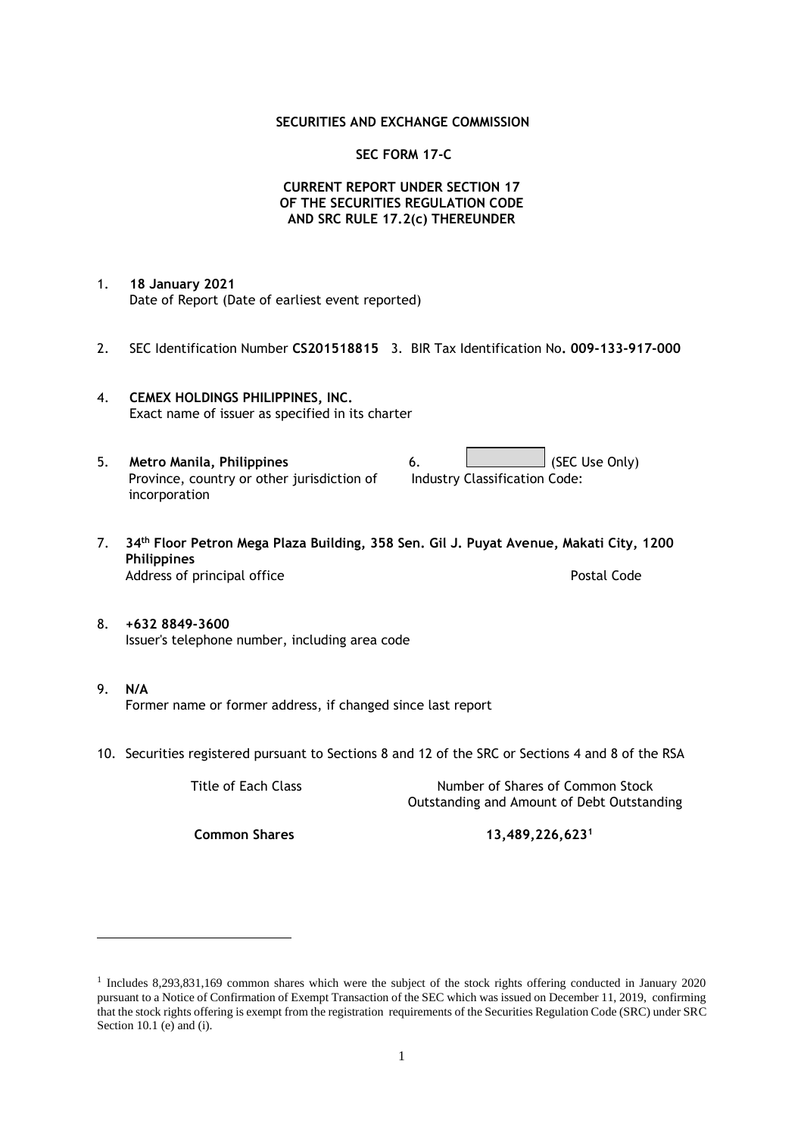#### **SECURITIES AND EXCHANGE COMMISSION**

#### **SEC FORM 17-C**

### **CURRENT REPORT UNDER SECTION 17 OF THE SECURITIES REGULATION CODE AND SRC RULE 17.2(c) THEREUNDER**

- 1. **18 January 2021** Date of Report (Date of earliest event reported)
- 2. SEC Identification Number **CS201518815** 3. BIR Tax Identification No**. 009-133-917-000**
- 4. **CEMEX HOLDINGS PHILIPPINES, INC.** Exact name of issuer as specified in its charter
- 5. **Metro Manila, Philippines** 6. **Consumers 6.** (SEC Use Only) Province, country or other jurisdiction of incorporation Industry Classification Code:
- 7. **34th Floor Petron Mega Plaza Building, 358 Sen. Gil J. Puyat Avenue, Makati City, 1200 Philippines** Address of principal office **Postal Code** Postal Code
- 8. **+632 8849-3600** Issuer's telephone number, including area code
- 9. **N/A** Former name or former address, if changed since last report
- 10. Securities registered pursuant to Sections 8 and 12 of the SRC or Sections 4 and 8 of the RSA

Title of Each Class Number of Shares of Common Stock Outstanding and Amount of Debt Outstanding

**Common Shares 13,489,226,623<sup>1</sup>**

<sup>1</sup> Includes 8,293,831,169 common shares which were the subject of the stock rights offering conducted in January 2020 pursuant to a Notice of Confirmation of Exempt Transaction of the SEC which was issued on December 11, 2019, confirming that the stock rights offering is exempt from the registration requirements of the Securities Regulation Code (SRC) under SRC Section 10.1 (e) and (i).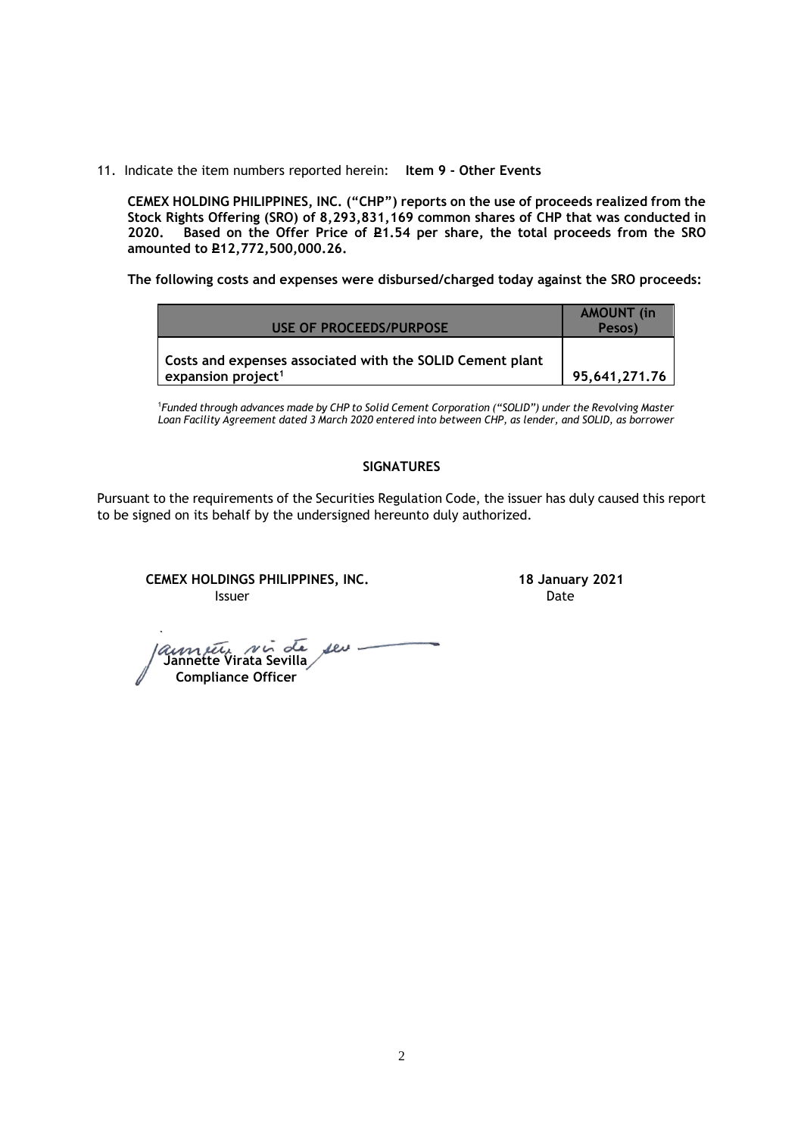11. Indicate the item numbers reported herein: **Item 9 - Other Events**

**CEMEX HOLDING PHILIPPINES, INC. ("CHP") reports on the use of proceeds realized from the Stock Rights Offering (SRO) of 8,293,831,169 common shares of CHP that was conducted in**  Based on the Offer Price of £1.54 per share, the total proceeds from the SRO **amounted to P12,772,500,000.26.** 

**The following costs and expenses were disbursed/charged today against the SRO proceeds:**

| USE OF PROCEEDS/PURPOSE                                                                     | <b>AMOUNT</b> (in<br>Pesos) |
|---------------------------------------------------------------------------------------------|-----------------------------|
| Costs and expenses associated with the SOLID Cement plant<br>expansion project <sup>1</sup> | 95.641.271.76               |

<sup>1</sup>*Funded through advances made by CHP to Solid Cement Corporation ("SOLID") under the Revolving Master Loan Facility Agreement dated 3 March 2020 entered into between CHP, as lender, and SOLID, as borrower*

## **SIGNATURES**

Pursuant to the requirements of the Securities Regulation Code, the issuer has duly caused this report to be signed on its behalf by the undersigned hereunto duly authorized.

**CEMEX HOLDINGS PHILIPPINES, INC. 18 January 2021 Issuer Date** 

 **Jannette Virata Sevilla Compliance Officer**